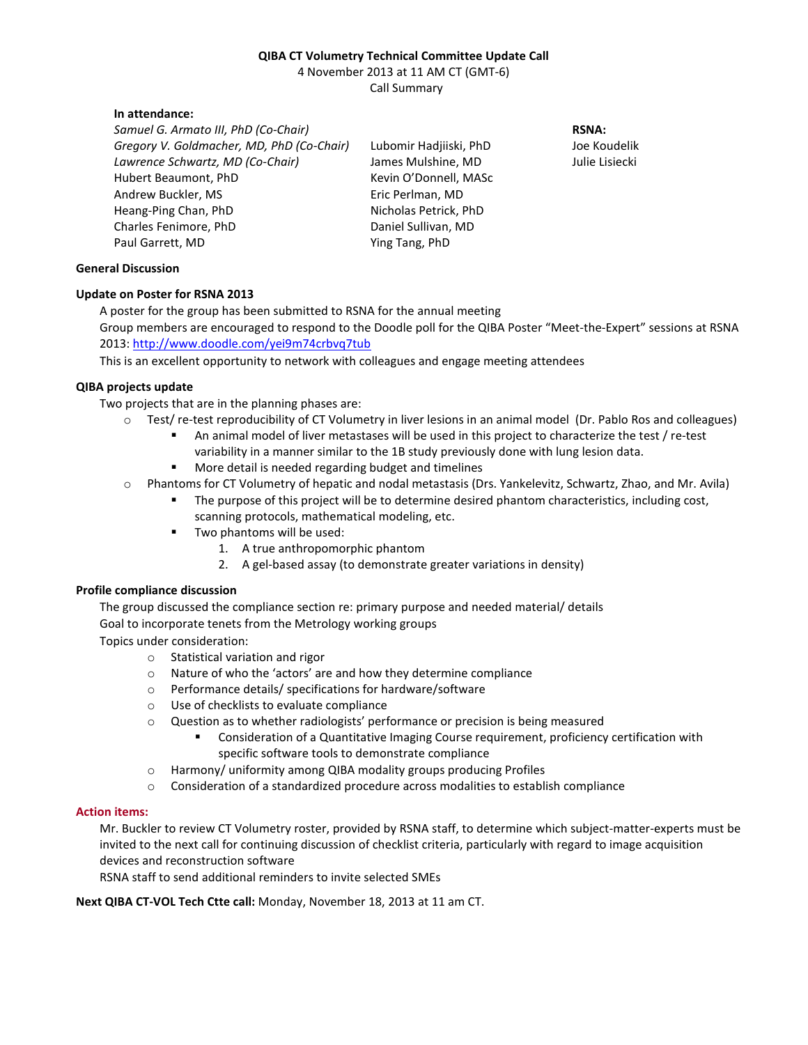# **QIBA CT Volumetry Technical Committee Update Call**

4 November 2013 at 11 AM CT (GMT-6) Call Summary

#### **In attendance:**

*Samuel G. Armato III, PhD (Co-Chair) Gregory V. Goldmacher, MD, PhD (Co-Chair) Lawrence Schwartz, MD (Co-Chair)*  Hubert Beaumont, PhD Andrew Buckler, MS Heang-Ping Chan, PhD Charles Fenimore, PhD Paul Garrett, MD

Lubomir Hadjiiski, PhD James Mulshine, MD Kevin O'Donnell, MASc Eric Perlman, MD Nicholas Petrick, PhD Daniel Sullivan, MD Ying Tang, PhD

**RSNA:** 

Joe Koudelik Julie Lisiecki

## **General Discussion**

## **Update on Poster for RSNA 2013**

A poster for the group has been submitted to RSNA for the annual meeting Group members are encouraged to respond to the Doodle poll for the QIBA Poster "Meet-the-Expert" sessions at RSNA 2013: http://www.doodle.com/yei9m74crbvq7tub

This is an excellent opportunity to network with colleagues and engage meeting attendees

## **QIBA projects update**

Two projects that are in the planning phases are:

- o Test/ re-test reproducibility of CT Volumetry in liver lesions in an animal model (Dr. Pablo Ros and colleagues)
	- An animal model of liver metastases will be used in this project to characterize the test / re-test variability in a manner similar to the 1B study previously done with lung lesion data.
	- More detail is needed regarding budget and timelines
- o Phantoms for CT Volumetry of hepatic and nodal metastasis (Drs. Yankelevitz, Schwartz, Zhao, and Mr. Avila)
	- The purpose of this project will be to determine desired phantom characteristics, including cost, scanning protocols, mathematical modeling, etc.
	- Two phantoms will be used:
		- 1. A true anthropomorphic phantom
		- 2. A gel-based assay (to demonstrate greater variations in density)

## **Profile compliance discussion**

The group discussed the compliance section re: primary purpose and needed material/ details

Goal to incorporate tenets from the Metrology working groups

Topics under consideration:

- o Statistical variation and rigor
- o Nature of who the 'actors' are and how they determine compliance
- o Performance details/ specifications for hardware/software
- o Use of checklists to evaluate compliance
- $\circ$  Question as to whether radiologists' performance or precision is being measured
	- Consideration of a Quantitative Imaging Course requirement, proficiency certification with specific software tools to demonstrate compliance
- o Harmony/ uniformity among QIBA modality groups producing Profiles
- o Consideration of a standardized procedure across modalities to establish compliance

#### **Action items:**

Mr. Buckler to review CT Volumetry roster, provided by RSNA staff, to determine which subject-matter-experts must be invited to the next call for continuing discussion of checklist criteria, particularly with regard to image acquisition devices and reconstruction software

RSNA staff to send additional reminders to invite selected SMEs

**Next QIBA CT-VOL Tech Ctte call:** Monday, November 18, 2013 at 11 am CT.